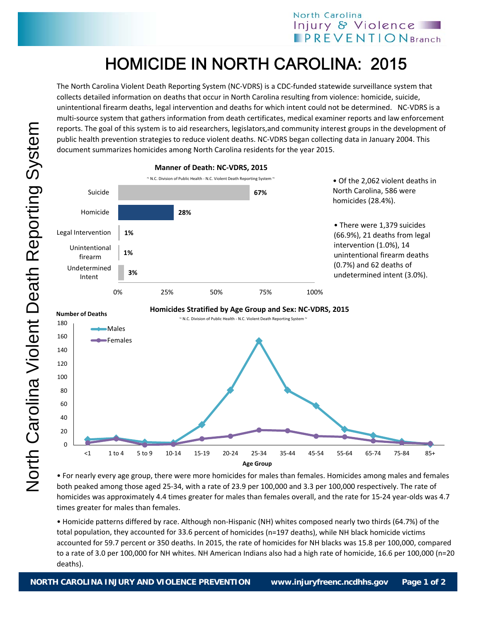## North Carolina Injury & Violence **PREVENTIONBranch**

## HOMICIDE IN NORTH CAROLINA: 2015

The North Carolina Violent Death Reporting System (NC‐VDRS) is a CDC‐funded statewide surveillance system that collects detailed information on deaths that occur in North Carolina resulting from violence: homicide, suicide, unintentional firearm deaths, legal intervention and deaths for which intent could not be determined. NC‐VDRS is a multi‐source system that gathers information from death certificates, medical examiner reports and law enforcement reports. The goal of this system is to aid researchers, legislators,and community interest groups in the development of public health prevention strategies to reduce violent deaths. NC‐VDRS began collecting data in January 2004. This document summarizes homicides among North Carolina residents for the year 2015.



• For nearly every age group, there were more homicides for males than females. Homicides among males and females both peaked among those aged 25‐34, with a rate of 23.9 per 100,000 and 3.3 per 100,000 respectively. The rate of homicides was approximately 4.4 times greater for males than females overall, and the rate for 15-24 year-olds was 4.7 times greater for males than females.

• Homicide patterns differed by race. Although non‐Hispanic (NH) whites composed nearly two thirds (64.7%) of the total population, they accounted for 33.6 percent of homicides (n=197 deaths), while NH black homicide victims accounted for 59.7 percent or 350 deaths. In 2015, the rate of homicides for NH blacks was 15.8 per 100,000, compared to a rate of 3.0 per 100,000 for NH whites. NH American Indians also had a high rate of homicide, 16.6 per 100,000 (n=20 deaths).